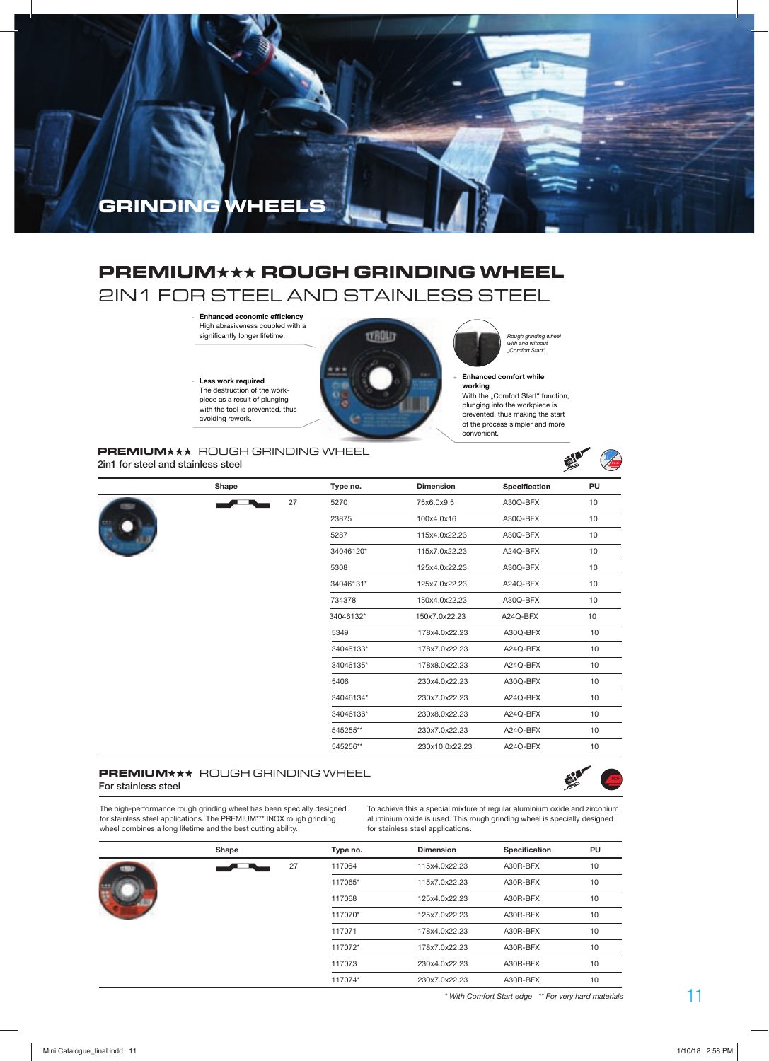

## **PREMIUM**★★★ **ROUGH GRINDING WHEEL** 2IN1 FOR STEEL AND STAINLESS STEEL

+ **Enhanced economic efficiency**  High abrasiveness coupled with a

+ **Less work required**  The destruction of the workpiece as a result of plunging with the tool is prevented, thus avoiding rework.



with and without "Comfort Start".

Enhanced comfort while

**working** With the "Comfort Start" function, plunging into the workpiece is prevented, thus making the start of the process simpler and more convenient.

### **PREMIUM\*\*\*** ROUGH GRINDING WHEEL **2in1 for steel and stainless steel**



|  | Shape |    | Type no.  | <b>Dimension</b> | Specification | PU |
|--|-------|----|-----------|------------------|---------------|----|
|  |       | 27 | 5270      | 75x6.0x9.5       | A30Q-BFX      | 10 |
|  |       |    | 23875     | 100x4.0x16       | A30Q-BFX      | 10 |
|  |       |    | 5287      | 115x4.0x22.23    | A30Q-BFX      | 10 |
|  |       |    | 34046120* | 115x7.0x22.23    | A24Q-BFX      | 10 |
|  |       |    | 5308      | 125x4.0x22.23    | A30Q-BFX      | 10 |
|  |       |    | 34046131* | 125x7.0x22.23    | A24Q-BFX      | 10 |
|  |       |    | 734378    | 150x4.0x22.23    | A30Q-BFX      | 10 |
|  |       |    | 34046132* | 150x7.0x22.23    | A24Q-BFX      | 10 |
|  |       |    | 5349      | 178x4.0x22.23    | A30Q-BFX      | 10 |
|  |       |    | 34046133* | 178x7.0x22.23    | A24Q-BFX      | 10 |
|  |       |    | 34046135* | 178x8.0x22.23    | A24Q-BFX      | 10 |
|  |       |    | 5406      | 230x4.0x22.23    | A30Q-BFX      | 10 |
|  |       |    | 34046134* | 230x7.0x22.23    | A24Q-BFX      | 10 |
|  |       |    | 34046136* | 230x8.0x22.23    | A24Q-BFX      | 10 |
|  |       |    | 545255**  | 230x7.0x22.23    | A24O-BFX      | 10 |
|  |       |    | 545256**  | 230x10.0x22.23   | A24O-BFX      | 10 |

### **PREMIUM** \*\* ROUGH GRINDING WHEEL **For stainless steel**



The high-performance rough grinding wheel has been specially designed for stainless steel applications. The PREMIUM\*\*\* INOX rough grinding wheel combines a long lifetime and the best cutting ability.

To achieve this a special mixture of regular aluminium oxide and zirconium aluminium oxide is used. This rough grinding wheel is specially designed for stainless steel applications.

| Shape |    | Type no. | <b>Dimension</b> | Specification | PU |
|-------|----|----------|------------------|---------------|----|
|       | 27 | 117064   | 115x4.0x22.23    | A30R-BFX      | 10 |
|       |    | 117065*  | 115x7.0x22.23    | A30R-BFX      | 10 |
|       |    | 117068   | 125x4.0x22.23    | A30R-BFX      | 10 |
|       |    | 117070*  | 125x7.0x22.23    | A30R-BFX      | 10 |
|       |    | 117071   | 178x4.0x22.23    | A30R-BFX      | 10 |
|       |    | 117072*  | 178x7.0x22.23    | A30R-BFX      | 10 |
|       |    | 117073   | 230x4.0x22.23    | A30R-BFX      | 10 |
|       |    | 117074*  | 230x7.0x22.23    | A30R-BFX      | 10 |